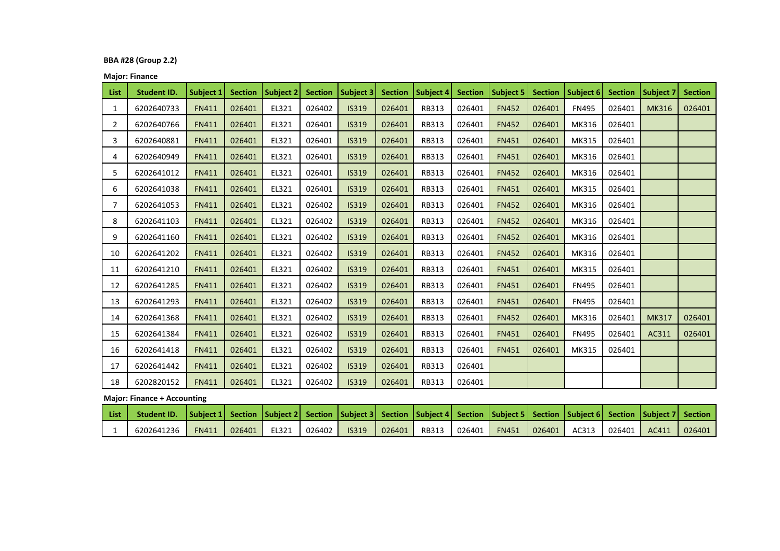## **BBA #28 (Group 2.2)**

**Major: Finance**

| <b>List</b>    | <b>Student ID.</b> | Subject 1    | <b>Section</b> | Subject 2 | <b>Section</b> | Subject 3    | <b>Section</b> | Subject 4    | <b>Section</b> | Subject 5    | <b>Section</b> | Subject 6    | <b>Section</b> | <b>Subject 7</b> | <b>Section</b> |
|----------------|--------------------|--------------|----------------|-----------|----------------|--------------|----------------|--------------|----------------|--------------|----------------|--------------|----------------|------------------|----------------|
| 1              | 6202640733         | <b>FN411</b> | 026401         | EL321     | 026402         | <b>IS319</b> | 026401         | <b>RB313</b> | 026401         | <b>FN452</b> | 026401         | <b>FN495</b> | 026401         | <b>MK316</b>     | 026401         |
| $\overline{2}$ | 6202640766         | <b>FN411</b> | 026401         | EL321     | 026401         | <b>IS319</b> | 026401         | <b>RB313</b> | 026401         | <b>FN452</b> | 026401         | MK316        | 026401         |                  |                |
| 3              | 6202640881         | <b>FN411</b> | 026401         | EL321     | 026401         | <b>IS319</b> | 026401         | <b>RB313</b> | 026401         | <b>FN451</b> | 026401         | MK315        | 026401         |                  |                |
| 4              | 6202640949         | <b>FN411</b> | 026401         | EL321     | 026401         | <b>IS319</b> | 026401         | <b>RB313</b> | 026401         | <b>FN451</b> | 026401         | MK316        | 026401         |                  |                |
| 5.             | 6202641012         | <b>FN411</b> | 026401         | EL321     | 026401         | <b>IS319</b> | 026401         | <b>RB313</b> | 026401         | <b>FN452</b> | 026401         | MK316        | 026401         |                  |                |
| 6              | 6202641038         | <b>FN411</b> | 026401         | EL321     | 026401         | <b>IS319</b> | 026401         | <b>RB313</b> | 026401         | <b>FN451</b> | 026401         | MK315        | 026401         |                  |                |
| 7              | 6202641053         | <b>FN411</b> | 026401         | EL321     | 026402         | <b>IS319</b> | 026401         | <b>RB313</b> | 026401         | <b>FN452</b> | 026401         | MK316        | 026401         |                  |                |
| 8              | 6202641103         | <b>FN411</b> | 026401         | EL321     | 026402         | <b>IS319</b> | 026401         | <b>RB313</b> | 026401         | <b>FN452</b> | 026401         | MK316        | 026401         |                  |                |
| 9              | 6202641160         | <b>FN411</b> | 026401         | EL321     | 026402         | <b>IS319</b> | 026401         | <b>RB313</b> | 026401         | <b>FN452</b> | 026401         | MK316        | 026401         |                  |                |
| 10             | 6202641202         | <b>FN411</b> | 026401         | EL321     | 026402         | <b>IS319</b> | 026401         | <b>RB313</b> | 026401         | <b>FN452</b> | 026401         | MK316        | 026401         |                  |                |
| 11             | 6202641210         | <b>FN411</b> | 026401         | EL321     | 026402         | <b>IS319</b> | 026401         | <b>RB313</b> | 026401         | <b>FN451</b> | 026401         | MK315        | 026401         |                  |                |
| 12             | 6202641285         | <b>FN411</b> | 026401         | EL321     | 026402         | <b>IS319</b> | 026401         | RB313        | 026401         | <b>FN451</b> | 026401         | <b>FN495</b> | 026401         |                  |                |
| 13             | 6202641293         | <b>FN411</b> | 026401         | EL321     | 026402         | <b>IS319</b> | 026401         | RB313        | 026401         | <b>FN451</b> | 026401         | <b>FN495</b> | 026401         |                  |                |
| 14             | 6202641368         | <b>FN411</b> | 026401         | EL321     | 026402         | <b>IS319</b> | 026401         | <b>RB313</b> | 026401         | <b>FN452</b> | 026401         | MK316        | 026401         | <b>MK317</b>     | 026401         |
| 15             | 6202641384         | <b>FN411</b> | 026401         | EL321     | 026402         | <b>IS319</b> | 026401         | <b>RB313</b> | 026401         | <b>FN451</b> | 026401         | <b>FN495</b> | 026401         | AC311            | 026401         |
| 16             | 6202641418         | <b>FN411</b> | 026401         | EL321     | 026402         | <b>IS319</b> | 026401         | <b>RB313</b> | 026401         | <b>FN451</b> | 026401         | MK315        | 026401         |                  |                |
| 17             | 6202641442         | <b>FN411</b> | 026401         | EL321     | 026402         | <b>IS319</b> | 026401         | RB313        | 026401         |              |                |              |                |                  |                |
| 18             | 6202820152         | <b>FN411</b> | 026401         | EL321     | 026402         | <b>IS319</b> | 026401         | RB313        | 026401         |              |                |              |                |                  |                |

**Major: Finance + Accounting**

| <b>List</b> | Student ID.   Subject 1  Section   Subject 2  Section   Subject 3  Section   Subject 4  Section   Subject 5  Section   Subject 6  Section   Subject 7  Section |              |        |       |              |        |  |                        |  |                           |        |
|-------------|----------------------------------------------------------------------------------------------------------------------------------------------------------------|--------------|--------|-------|--------------|--------|--|------------------------|--|---------------------------|--------|
|             | 6202641236                                                                                                                                                     | <b>FN411</b> | 026401 | EL321 | 026402 SS319 | 026401 |  | RB313   026401   FN451 |  | 026401 AC313 026401 AC411 | 026401 |